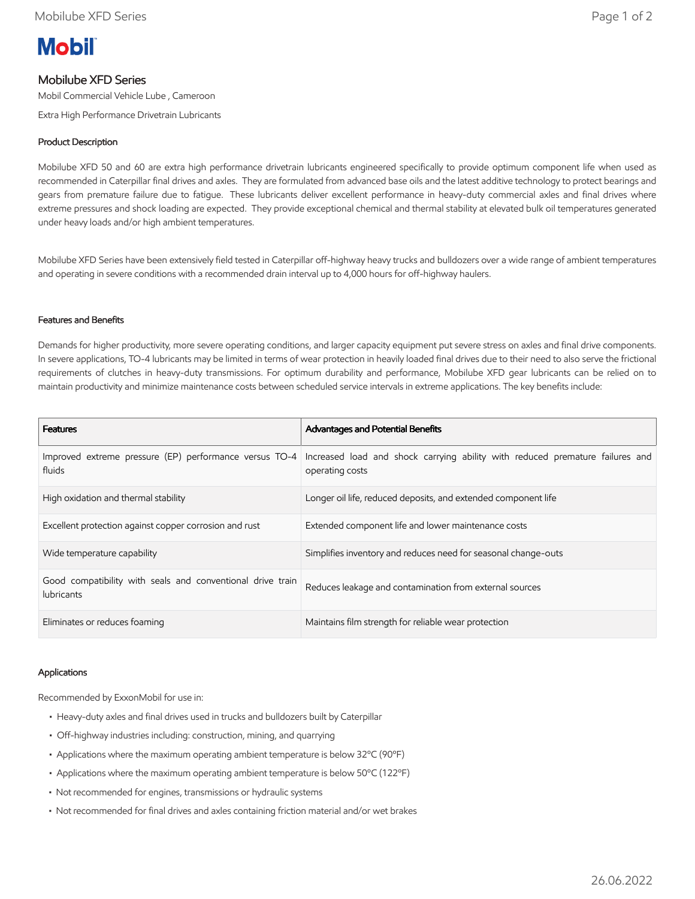

# Mobilube XFD Series

Mobil Commercial Vehicle Lube , Cameroon

Extra High Performance Drivetrain Lubricants

# Product Description

Mobilube XFD 50 and 60 are extra high performance drivetrain lubricants engineered specifically to provide optimum component life when used as recommended in Caterpillar final drives and axles. They are formulated from advanced base oils and the latest additive technology to protect bearings and gears from premature failure due to fatigue. These lubricants deliver excellent performance in heavy-duty commercial axles and final drives where extreme pressures and shock loading are expected. They provide exceptional chemical and thermal stability at elevated bulk oil temperatures generated under heavy loads and/or high ambient temperatures.

Mobilube XFD Series have been extensively field tested in Caterpillar off-highway heavy trucks and bulldozers over a wide range of ambient temperatures and operating in severe conditions with a recommended drain interval up to 4,000 hours for off-highway haulers.

## Features and Benefits

Demands for higher productivity, more severe operating conditions, and larger capacity equipment put severe stress on axles and final drive components. In severe applications, TO-4 lubricants may be limited in terms of wear protection in heavily loaded final drives due to their need to also serve the frictional requirements of clutches in heavy-duty transmissions. For optimum durability and performance, Mobilube XFD gear lubricants can be relied on to maintain productivity and minimize maintenance costs between scheduled service intervals in extreme applications. The key benefits include:

| <b>Features</b>                                                                 | <b>Advantages and Potential Benefits</b>                                                         |
|---------------------------------------------------------------------------------|--------------------------------------------------------------------------------------------------|
| Improved extreme pressure (EP) performance versus TO-4<br>fluids                | Increased load and shock carrying ability with reduced premature failures and<br>operating costs |
| High oxidation and thermal stability                                            | Longer oil life, reduced deposits, and extended component life                                   |
| Excellent protection against copper corrosion and rust                          | Extended component life and lower maintenance costs                                              |
| Wide temperature capability                                                     | Simplifies inventory and reduces need for seasonal change-outs                                   |
| Good compatibility with seals and conventional drive train<br><b>lubricants</b> | Reduces leakage and contamination from external sources                                          |
| Eliminates or reduces foaming                                                   | Maintains film strength for reliable wear protection                                             |

### Applications

Recommended by ExxonMobil for use in:

- Heavy-duty axles and final drives used in trucks and bulldozers built by Caterpillar
- Off-highway industries including: construction, mining, and quarrying
- Applications where the maximum operating ambient temperature is below 32ºC (90ºF)
- Applications where the maximum operating ambient temperature is below 50ºC (122ºF)
- Not recommended for engines, transmissions or hydraulic systems
- Not recommended for final drives and axles containing friction material and/or wet brakes